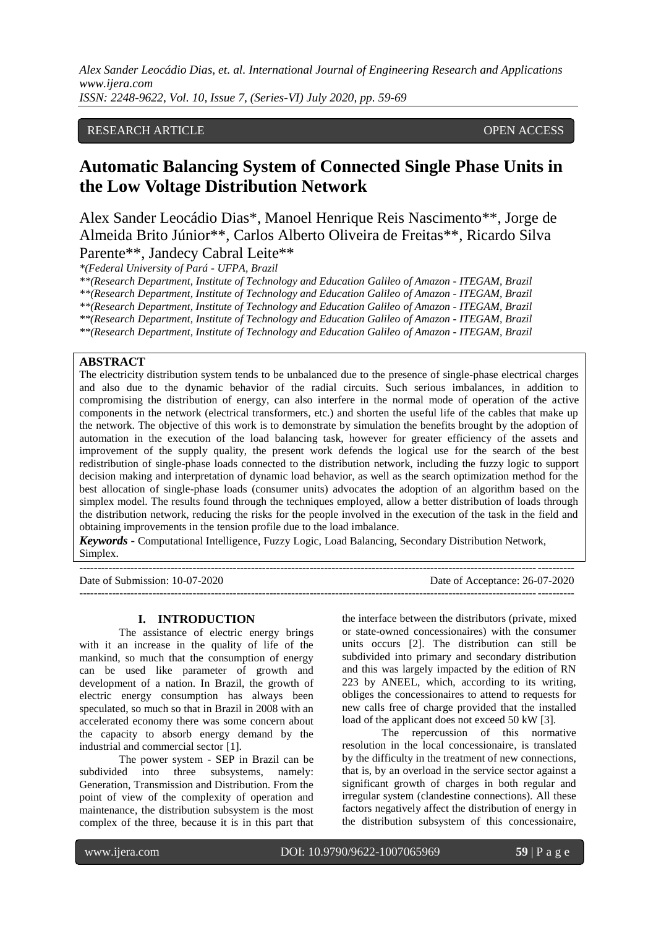# RESEARCH ARTICLE **CONSERVERS** OPEN ACCESS

# **Automatic Balancing System of Connected Single Phase Units in the Low Voltage Distribution Network**

Alex Sander Leocádio Dias\*, Manoel Henrique Reis Nascimento\*\*, Jorge de Almeida Brito Júnior\*\*, Carlos Alberto Oliveira de Freitas\*\*, Ricardo Silva Parente\*\*, Jandecy Cabral Leite\*\*

*\*(Federal University of Pará - UFPA, Brazil*

*\*\*(Research Department, Institute of Technology and Education Galileo of Amazon - ITEGAM, Brazil*

*\*\*(Research Department, Institute of Technology and Education Galileo of Amazon - ITEGAM, Brazil*

*\*\*(Research Department, Institute of Technology and Education Galileo of Amazon - ITEGAM, Brazil*

*\*\*(Research Department, Institute of Technology and Education Galileo of Amazon - ITEGAM, Brazil*

*\*\*(Research Department, Institute of Technology and Education Galileo of Amazon - ITEGAM, Brazil*

# **ABSTRACT**

The electricity distribution system tends to be unbalanced due to the presence of single-phase electrical charges and also due to the dynamic behavior of the radial circuits. Such serious imbalances, in addition to compromising the distribution of energy, can also interfere in the normal mode of operation of the active components in the network (electrical transformers, etc.) and shorten the useful life of the cables that make up the network. The objective of this work is to demonstrate by simulation the benefits brought by the adoption of automation in the execution of the load balancing task, however for greater efficiency of the assets and improvement of the supply quality, the present work defends the logical use for the search of the best redistribution of single-phase loads connected to the distribution network, including the fuzzy logic to support decision making and interpretation of dynamic load behavior, as well as the search optimization method for the best allocation of single-phase loads (consumer units) advocates the adoption of an algorithm based on the simplex model. The results found through the techniques employed, allow a better distribution of loads through the distribution network, reducing the risks for the people involved in the execution of the task in the field and obtaining improvements in the tension profile due to the load imbalance.

*Keywords* **-** Computational Intelligence, Fuzzy Logic, Load Balancing, Secondary Distribution Network, Simplex.

--------------------------------------------------------------------------------------------------------------------------------------- Date of Submission: 10-07-2020 Date of Acceptance: 26-07-2020 ---------------------------------------------------------------------------------------------------------------------------------------

### **I. INTRODUCTION**

The assistance of electric energy brings with it an increase in the quality of life of the mankind, so much that the consumption of energy can be used like parameter of growth and development of a nation. In Brazil, the growth of electric energy consumption has always been speculated, so much so that in Brazil in 2008 with an accelerated economy there was some concern about the capacity to absorb energy demand by the industrial and commercial sector [1].

The power system - SEP in Brazil can be subdivided into three subsystems, namely: Generation, Transmission and Distribution. From the point of view of the complexity of operation and maintenance, the distribution subsystem is the most complex of the three, because it is in this part that

the interface between the distributors (private, mixed or state-owned concessionaires) with the consumer units occurs [2]. The distribution can still be subdivided into primary and secondary distribution and this was largely impacted by the edition of RN 223 by ANEEL, which, according to its writing, obliges the concessionaires to attend to requests for new calls free of charge provided that the installed load of the applicant does not exceed 50 kW [3].

The repercussion of this normative resolution in the local concessionaire, is translated by the difficulty in the treatment of new connections, that is, by an overload in the service sector against a significant growth of charges in both regular and irregular system (clandestine connections). All these factors negatively affect the distribution of energy in the distribution subsystem of this concessionaire,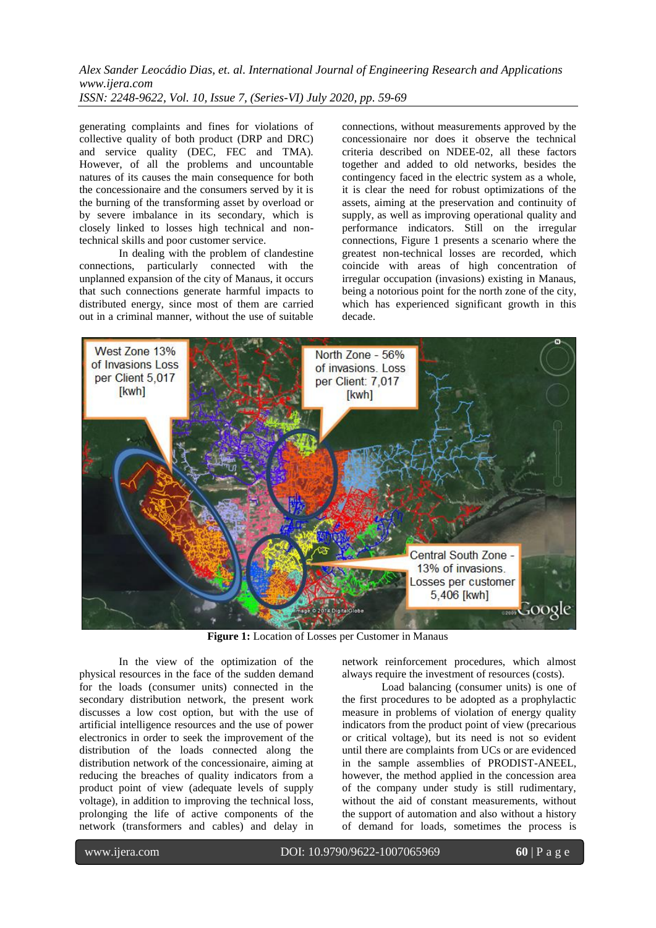generating complaints and fines for violations of collective quality of both product (DRP and DRC) and service quality (DEC, FEC and TMA). However, of all the problems and uncountable natures of its causes the main consequence for both the concessionaire and the consumers served by it is the burning of the transforming asset by overload or by severe imbalance in its secondary, which is closely linked to losses high technical and nontechnical skills and poor customer service.

In dealing with the problem of clandestine connections, particularly connected with the unplanned expansion of the city of Manaus, it occurs that such connections generate harmful impacts to distributed energy, since most of them are carried out in a criminal manner, without the use of suitable

connections, without measurements approved by the concessionaire nor does it observe the technical criteria described on NDEE-02, all these factors together and added to old networks, besides the contingency faced in the electric system as a whole, it is clear the need for robust optimizations of the assets, aiming at the preservation and continuity of supply, as well as improving operational quality and performance indicators. Still on the irregular connections, Figure 1 presents a scenario where the greatest non-technical losses are recorded, which coincide with areas of high concentration of irregular occupation (invasions) existing in Manaus, being a notorious point for the north zone of the city, which has experienced significant growth in this decade.



**Figure 1:** Location of Losses per Customer in Manaus

In the view of the optimization of the physical resources in the face of the sudden demand for the loads (consumer units) connected in the secondary distribution network, the present work discusses a low cost option, but with the use of artificial intelligence resources and the use of power electronics in order to seek the improvement of the distribution of the loads connected along the distribution network of the concessionaire, aiming at reducing the breaches of quality indicators from a product point of view (adequate levels of supply voltage), in addition to improving the technical loss, prolonging the life of active components of the network (transformers and cables) and delay in

network reinforcement procedures, which almost always require the investment of resources (costs).

Load balancing (consumer units) is one of the first procedures to be adopted as a prophylactic measure in problems of violation of energy quality indicators from the product point of view (precarious or critical voltage), but its need is not so evident until there are complaints from UCs or are evidenced in the sample assemblies of PRODIST-ANEEL, however, the method applied in the concession area of the company under study is still rudimentary, without the aid of constant measurements, without the support of automation and also without a history of demand for loads, sometimes the process is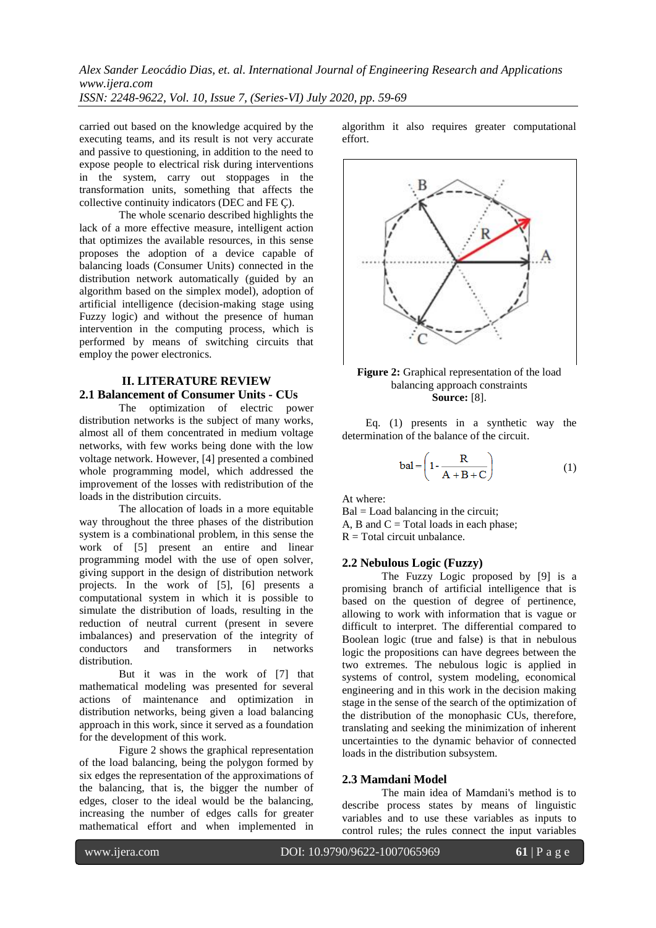carried out based on the knowledge acquired by the executing teams, and its result is not very accurate and passive to questioning, in addition to the need to expose people to electrical risk during interventions in the system, carry out stoppages in the transformation units, something that affects the collective continuity indicators (DEC and FE Ç).

The whole scenario described highlights the lack of a more effective measure, intelligent action that optimizes the available resources, in this sense proposes the adoption of a device capable of balancing loads (Consumer Units) connected in the distribution network automatically (guided by an algorithm based on the simplex model), adoption of artificial intelligence (decision-making stage using Fuzzy logic) and without the presence of human intervention in the computing process, which is performed by means of switching circuits that employ the power electronics.

# **II. LITERATURE REVIEW**

# **2.1 Balancement of Consumer Units - CUs**

The optimization of electric power distribution networks is the subject of many works, almost all of them concentrated in medium voltage networks, with few works being done with the low voltage network. However, [4] presented a combined whole programming model, which addressed the improvement of the losses with redistribution of the loads in the distribution circuits.

The allocation of loads in a more equitable way throughout the three phases of the distribution system is a combinational problem, in this sense the work of [5] present an entire and linear programming model with the use of open solver, giving support in the design of distribution network projects. In the work of [5], [6] presents a computational system in which it is possible to simulate the distribution of loads, resulting in the reduction of neutral current (present in severe imbalances) and preservation of the integrity of conductors and transformers in networks distribution.

But it was in the work of [7] that mathematical modeling was presented for several actions of maintenance and optimization in distribution networks, being given a load balancing approach in this work, since it served as a foundation for the development of this work.

Figure 2 shows the graphical representation of the load balancing, being the polygon formed by six edges the representation of the approximations of the balancing, that is, the bigger the number of edges, closer to the ideal would be the balancing, increasing the number of edges calls for greater mathematical effort and when implemented in algorithm it also requires greater computational effort.





Eq. (1) presents in a synthetic way the determination of the balance of the circuit.

$$
bal = \left(1 - \frac{R}{A + B + C}\right) \tag{1}
$$

At where:

Bal = Load balancing in the circuit; A, B and  $C = Total$  loads in each phase;  $R = Total circuit unbalance.$ 

#### **2.2 Nebulous Logic (Fuzzy)**

The Fuzzy Logic proposed by [9] is a promising branch of artificial intelligence that is based on the question of degree of pertinence, allowing to work with information that is vague or difficult to interpret. The differential compared to Boolean logic (true and false) is that in nebulous logic the propositions can have degrees between the two extremes. The nebulous logic is applied in systems of control, system modeling, economical engineering and in this work in the decision making stage in the sense of the search of the optimization of the distribution of the monophasic CUs, therefore, translating and seeking the minimization of inherent uncertainties to the dynamic behavior of connected loads in the distribution subsystem.

### **2.3 Mamdani Model**

The main idea of Mamdani's method is to describe process states by means of linguistic variables and to use these variables as inputs to control rules; the rules connect the input variables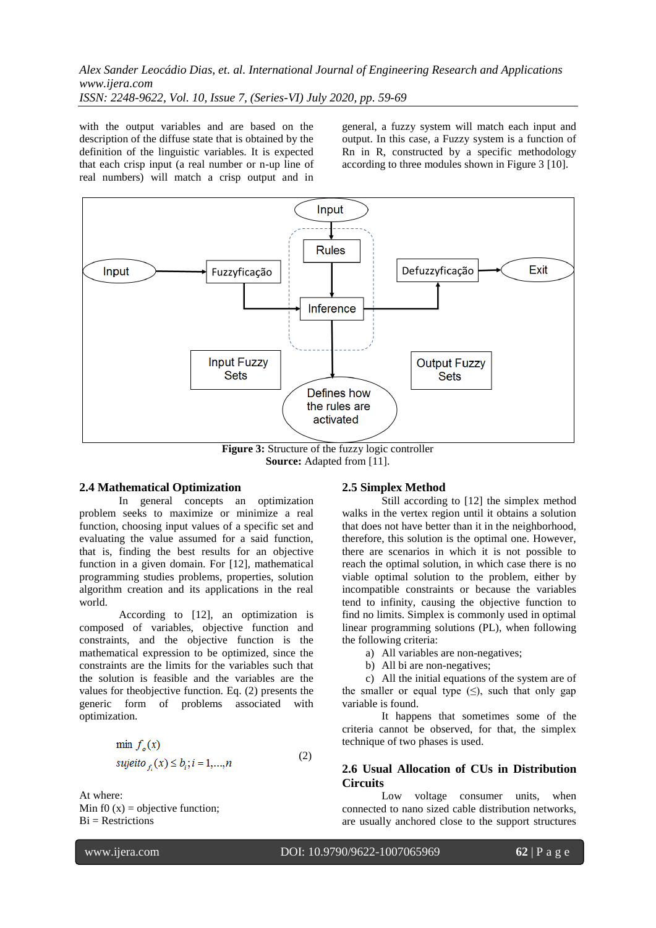with the output variables and are based on the description of the diffuse state that is obtained by the definition of the linguistic variables. It is expected that each crisp input (a real number or n-up line of real numbers) will match a crisp output and in

general, a fuzzy system will match each input and output. In this case, a Fuzzy system is a function of Rn in R, constructed by a specific methodology according to three modules shown in Figure 3 [10].



**Figure 3:** Structure of the fuzzy logic controller **Source:** Adapted from [11].

# **2.4 Mathematical Optimization**

In general concepts an optimization problem seeks to maximize or minimize a real function, choosing input values of a specific set and evaluating the value assumed for a said function, that is, finding the best results for an objective function in a given domain. For [12], mathematical programming studies problems, properties, solution algorithm creation and its applications in the real world.

According to [12], an optimization is composed of variables, objective function and constraints, and the objective function is the mathematical expression to be optimized, since the constraints are the limits for the variables such that the solution is feasible and the variables are the values for theobjective function. Eq. (2) presents the generic form of problems associated with optimization.

$$
\min f_o(x)
$$
  
subject $o_{f_i}(x) \le b_i; i = 1,...,n$  (2)

At where: Min f0  $(x)$  = objective function:  $Bi = Restrictions$ 

#### **2.5 Simplex Method**

Still according to [12] the simplex method walks in the vertex region until it obtains a solution that does not have better than it in the neighborhood, therefore, this solution is the optimal one. However, there are scenarios in which it is not possible to reach the optimal solution, in which case there is no viable optimal solution to the problem, either by incompatible constraints or because the variables tend to infinity, causing the objective function to find no limits. Simplex is commonly used in optimal linear programming solutions (PL), when following the following criteria:

- a) All variables are non-negatives;
- b) All bi are non-negatives;

c) All the initial equations of the system are of the smaller or equal type  $(\le)$ , such that only gap variable is found.

It happens that sometimes some of the criteria cannot be observed, for that, the simplex technique of two phases is used.

# **2.6 Usual Allocation of CUs in Distribution Circuits**

Low voltage consumer units, when connected to nano sized cable distribution networks, are usually anchored close to the support structures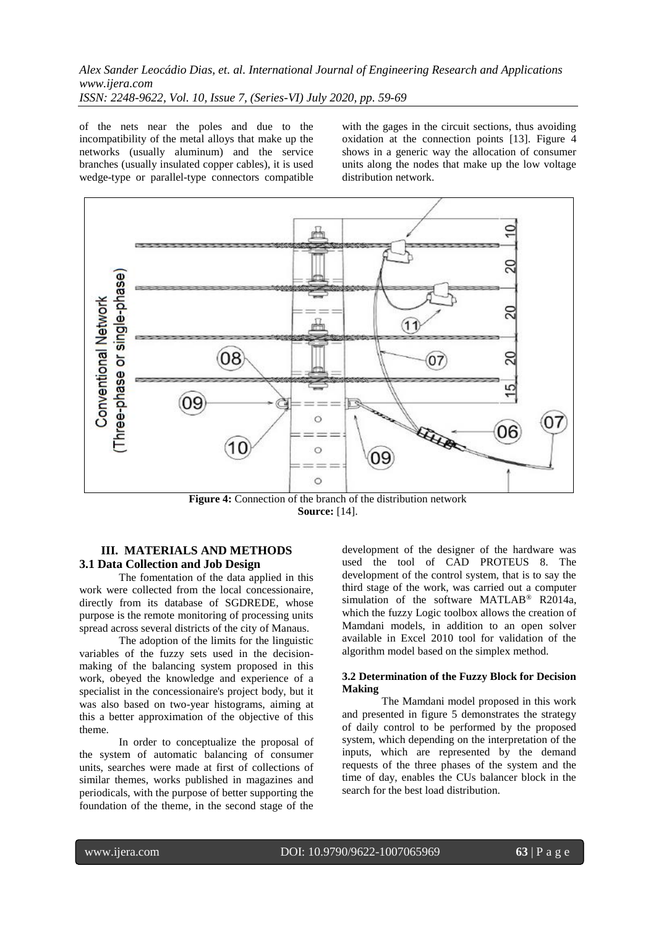of the nets near the poles and due to the incompatibility of the metal alloys that make up the networks (usually aluminum) and the service branches (usually insulated copper cables), it is used wedge-type or parallel-type connectors compatible

with the gages in the circuit sections, thus avoiding oxidation at the connection points [13]. Figure 4 shows in a generic way the allocation of consumer units along the nodes that make up the low voltage distribution network.



**Figure 4:** Connection of the branch of the distribution network **Source:** [14].

# **III. MATERIALS AND METHODS 3.1 Data Collection and Job Design**

The fomentation of the data applied in this work were collected from the local concessionaire, directly from its database of SGDREDE, whose purpose is the remote monitoring of processing units spread across several districts of the city of Manaus.

The adoption of the limits for the linguistic variables of the fuzzy sets used in the decisionmaking of the balancing system proposed in this work, obeyed the knowledge and experience of a specialist in the concessionaire's project body, but it was also based on two-year histograms, aiming at this a better approximation of the objective of this theme.

In order to conceptualize the proposal of the system of automatic balancing of consumer units, searches were made at first of collections of similar themes, works published in magazines and periodicals, with the purpose of better supporting the foundation of the theme, in the second stage of the

development of the designer of the hardware was used the tool of CAD PROTEUS 8. The development of the control system, that is to say the third stage of the work, was carried out a computer simulation of the software MATLAB® R2014a, which the fuzzy Logic toolbox allows the creation of Mamdani models, in addition to an open solver available in Excel 2010 tool for validation of the algorithm model based on the simplex method.

### **3.2 Determination of the Fuzzy Block for Decision Making**

The Mamdani model proposed in this work and presented in figure 5 demonstrates the strategy of daily control to be performed by the proposed system, which depending on the interpretation of the inputs, which are represented by the demand requests of the three phases of the system and the time of day, enables the CUs balancer block in the search for the best load distribution.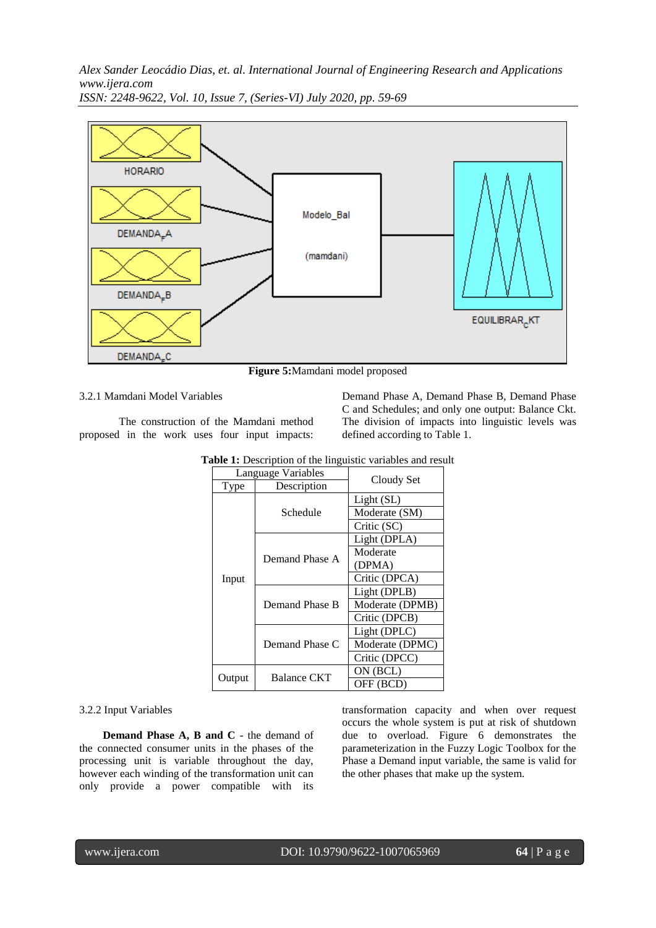

**Figure 5:**Mamdani model proposed

### 3.2.1 Mamdani Model Variables

The construction of the Mamdani method proposed in the work uses four input impacts:

Demand Phase A, Demand Phase B, Demand Phase C and Schedules; and only one output: Balance Ckt. The division of impacts into linguistic levels was defined according to Table 1.

|        | Language Variables | Cloudy Set      |  |
|--------|--------------------|-----------------|--|
| Type   | Description        |                 |  |
| Input  |                    | Light(SL)       |  |
|        | Schedule           | Moderate (SM)   |  |
|        |                    | Critic (SC)     |  |
|        |                    | Light (DPLA)    |  |
|        | Demand Phase A     | Moderate        |  |
|        |                    | (DPMA)          |  |
|        |                    | Critic (DPCA)   |  |
|        | Demand Phase B     | Light (DPLB)    |  |
|        |                    | Moderate (DPMB) |  |
|        |                    | Critic (DPCB)   |  |
|        |                    | Light (DPLC)    |  |
|        | Demand Phase C     | Moderate (DPMC) |  |
|        |                    | Critic (DPCC)   |  |
|        |                    | ON (BCL)        |  |
| Output | <b>Balance CKT</b> | OFF (BCD)       |  |

**Table 1:** Description of the linguistic variables and result

### 3.2.2 Input Variables

**Demand Phase A, B and C** - the demand of the connected consumer units in the phases of the processing unit is variable throughout the day, however each winding of the transformation unit can only provide a power compatible with its

transformation capacity and when over request occurs the whole system is put at risk of shutdown due to overload. Figure 6 demonstrates the parameterization in the Fuzzy Logic Toolbox for the Phase a Demand input variable, the same is valid for the other phases that make up the system.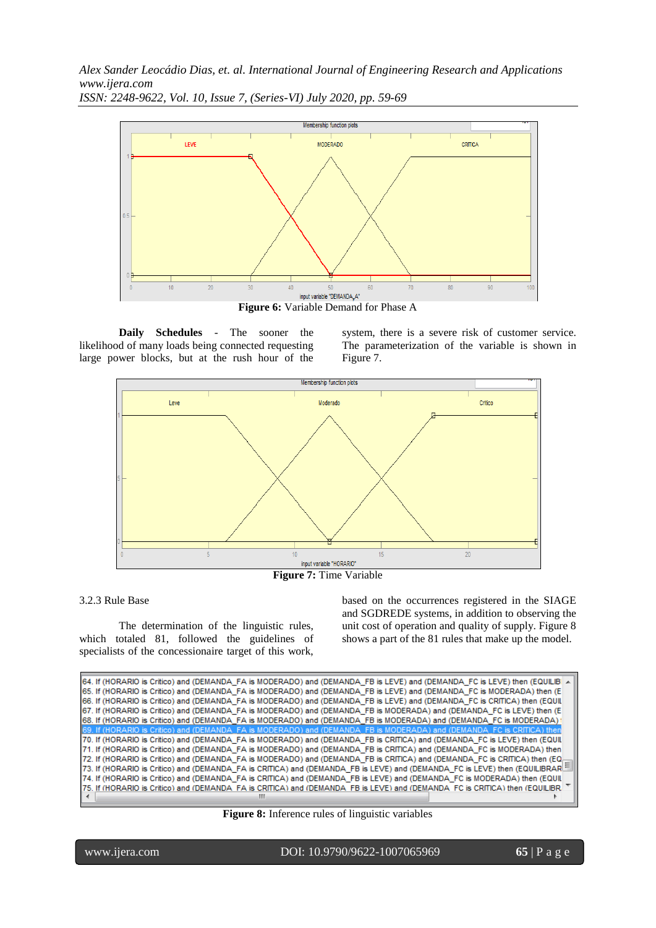*Alex Sander Leocádio Dias, et. al. International Journal of Engineering Research and Applications www.ijera.com*



*ISSN: 2248-9622, Vol. 10, Issue 7, (Series-VI) July 2020, pp. 59-69*

**Figure 6:** Variable Demand for Phase A

**Daily Schedules** - The sooner the likelihood of many loads being connected requesting large power blocks, but at the rush hour of the system, there is a severe risk of customer service. The parameterization of the variable is shown in Figure 7.



**Figure 7:** Time Variable

3.2.3 Rule Base

The determination of the linguistic rules, which totaled 81, followed the guidelines of specialists of the concessionaire target of this work,

based on the occurrences registered in the SIAGE and SGDREDE systems, in addition to observing the unit cost of operation and quality of supply. Figure 8 shows a part of the 81 rules that make up the model.

```
64. If (HORARIO is Critico) and (DEMANDA_FA is MODERADO) and (DEMANDA_FB is LEVE) and (DEMANDA_FC is LEVE) then (EQUILIB
65. If (HORARIO is Critico) and (DEMANDA_FA is MODERADO) and (DEMANDA_FB is LEVE) and (DEMANDA_FC is MODERADA) then (E
66. If (HORARIO is Critico) and (DEMANDA_FA is MODERADO) and (DEMANDA_FB is LEVE) and (DEMANDA_FC is CRITICA) then (EQUIL
67. If (HORARIO is Critico) and (DEMANDA_FA is MODERADO) and (DEMANDA_FB is MODERADA) and (DEMANDA_FC is LEVE) then (E
68. If (HORARIO is Critico) and (DEMANDA_FA is MODERADO) and (DEMANDA_FB is MODERADA) and (DEMANDA_FC is MODERADA)
70. If (HORARIO is Critico) and (DEMANDA_FA is MODERADO) and (DEMANDA_FB is CRITICA) and (DEMANDA_FC is LEVE) then (EQUIL
71. If (HORARIO is Critico) and (DEMANDA_FA is MODERADO) and (DEMANDA_FB is CRITICA) and (DEMANDA_FC is MODERADA) then
72. If (HORARIO is Critico) and (DEMANDA_FA is MODERADO) and (DEMANDA_FB is CRITICA) and (DEMANDA_FC is CRITICA) then (EQ
73. If (HORARIO is Critico) and (DEMANDA_FA is CRITICA) and (DEMANDA_FB is LEVE) and (DEMANDA_FC is LEVE) then (EQUILIBRAR<sup>IE)</sup>
74. If (HORARIO is Critico) and (DEMANDA_FA is CRITICA) and (DEMANDA_FB is LEVE) and (DEMANDA_FC is MODERADA) then (EQUIL
75. If (HORARIO is Critico) and (DEMANDA FA is CRITICA) and (DEMANDA FB is LEVE) and (DEMANDA FC is CRITICA) then (EQUILIBR
                                            ш
```
**Figure 8:** Inference rules of linguistic variables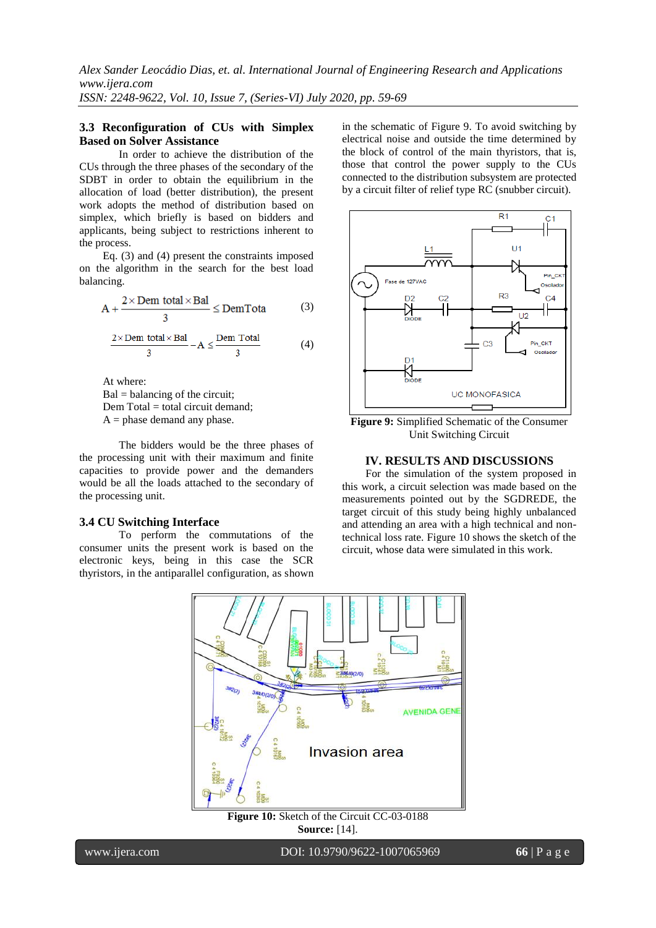# **3.3 Reconfiguration of CUs with Simplex Based on Solver Assistance**

In order to achieve the distribution of the CUs through the three phases of the secondary of the SDBT in order to obtain the equilibrium in the allocation of load (better distribution), the present work adopts the method of distribution based on simplex, which briefly is based on bidders and applicants, being subject to restrictions inherent to the process.

Eq. (3) and (4) present the constraints imposed on the algorithm in the search for the best load balancing.

$$
A + \frac{2 \times \text{Dem total} \times \text{Bal}}{3} \le \text{DemTotal} \tag{3}
$$

$$
\frac{2 \times \text{Dem total} \times \text{Bal}}{3} - A \le \frac{\text{Dem Total}}{3}
$$
 (4)

At where: Bal = balancing of the circuit; Dem Total = total circuit demand;  $A =$  phase demand any phase.

The bidders would be the three phases of the processing unit with their maximum and finite capacities to provide power and the demanders would be all the loads attached to the secondary of the processing unit.

### **3.4 CU Switching Interface**

To perform the commutations of the consumer units the present work is based on the electronic keys, being in this case the SCR thyristors, in the antiparallel configuration, as shown

in the schematic of Figure 9. To avoid switching by electrical noise and outside the time determined by the block of control of the main thyristors, that is, those that control the power supply to the CUs connected to the distribution subsystem are protected by a circuit filter of relief type RC (snubber circuit).



**Figure 9:** Simplified Schematic of the Consumer Unit Switching Circuit

### **IV. RESULTS AND DISCUSSIONS**

For the simulation of the system proposed in this work, a circuit selection was made based on the measurements pointed out by the SGDREDE, the target circuit of this study being highly unbalanced and attending an area with a high technical and nontechnical loss rate. Figure 10 shows the sketch of the circuit, whose data were simulated in this work.



**Source:** [14].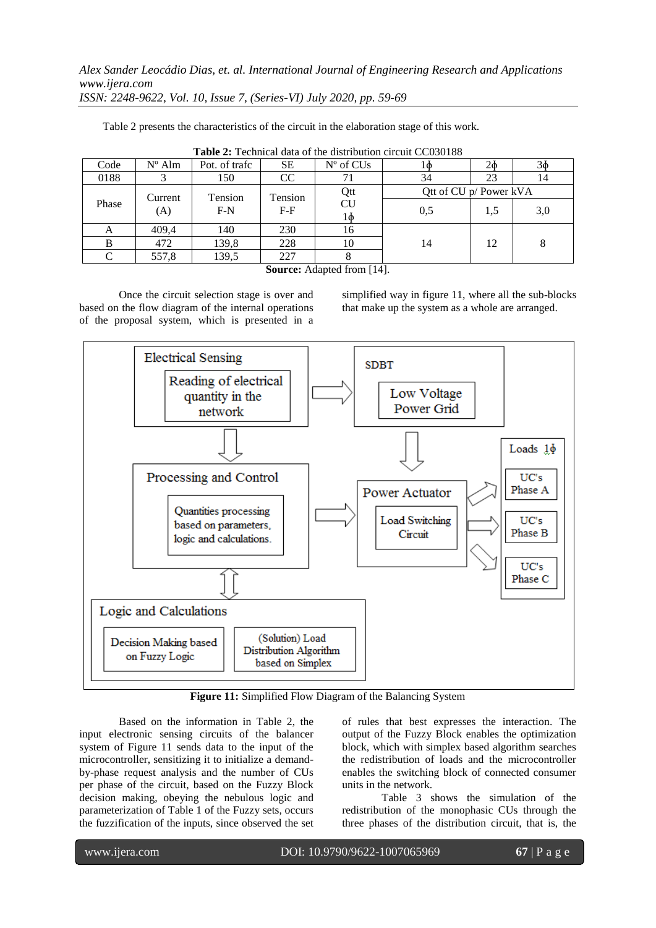Table 2 presents the characteristics of the circuit in the elaboration stage of this work.

| <b>THING A</b> T TUUMMUU GUU VI MU GIDHIDHUUN UNUMI UUVJUTUU |                 |                  |                  |             |                        |     |     |  |
|--------------------------------------------------------------|-----------------|------------------|------------------|-------------|------------------------|-----|-----|--|
| Code                                                         | $N^{\circ}$ Alm | Pot. of trafc    | SЕ               | $No$ of CUs | ıΨ                     | 2ф  | Зф  |  |
| 0188                                                         |                 | 150              | CC               | 71          | 34                     | 23  | 14  |  |
|                                                              | Current<br>(A)  | Tension<br>$F-N$ | Tension<br>$F-F$ | Qtt         | Qtt of CU p/ Power kVA |     |     |  |
| Phase                                                        |                 |                  |                  | CU<br>1ф    | 0,5                    | 1.5 | 3,0 |  |
| A                                                            | 409,4           | 140              | 230              | 16          |                        |     |     |  |
| B                                                            | 472             | 139,8            | 228              | 10          | 14                     | 12  | 8   |  |
|                                                              | 557,8           | 139,5            | 227              |             |                        |     |     |  |

**Table 2:** Technical data of the distribution circuit CC030188

**Source:** Adapted from [14].

Once the circuit selection stage is over and based on the flow diagram of the internal operations of the proposal system, which is presented in a

simplified way in figure 11, where all the sub-blocks that make up the system as a whole are arranged.



**Figure 11:** Simplified Flow Diagram of the Balancing System

Based on the information in Table 2, the input electronic sensing circuits of the balancer system of Figure 11 sends data to the input of the microcontroller, sensitizing it to initialize a demandby-phase request analysis and the number of CUs per phase of the circuit, based on the Fuzzy Block decision making, obeying the nebulous logic and parameterization of Table 1 of the Fuzzy sets, occurs the fuzzification of the inputs, since observed the set

of rules that best expresses the interaction. The output of the Fuzzy Block enables the optimization block, which with simplex based algorithm searches the redistribution of loads and the microcontroller enables the switching block of connected consumer units in the network.

Table 3 shows the simulation of the redistribution of the monophasic CUs through the three phases of the distribution circuit, that is, the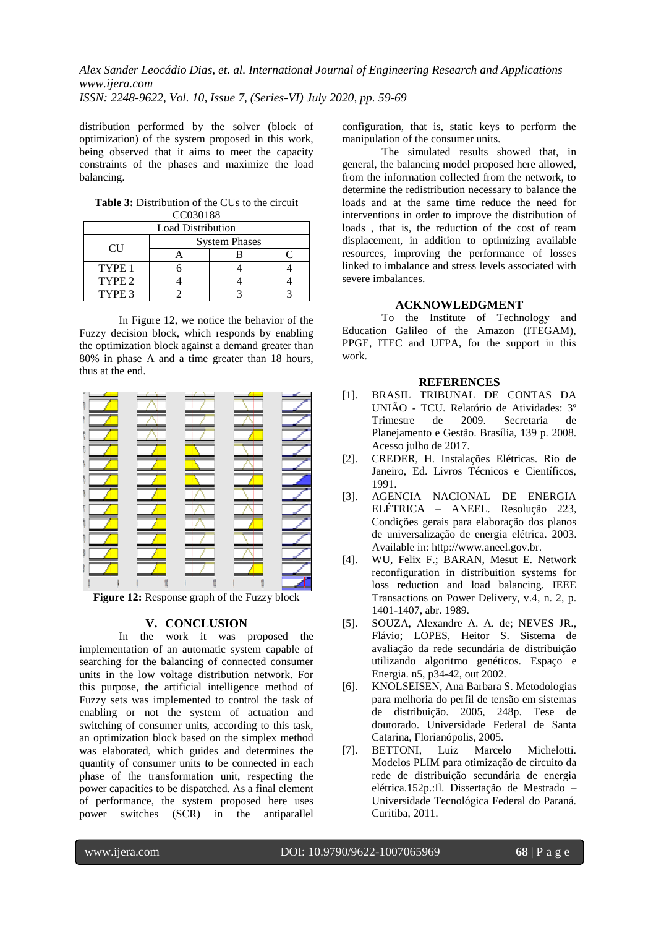distribution performed by the solver (block of optimization) of the system proposed in this work, being observed that it aims to meet the capacity constraints of the phases and maximize the load balancing.

| <b>Table 3:</b> Distribution of the CUs to the circuit |  |
|--------------------------------------------------------|--|
| CC030188                                               |  |

| -------                  |                      |  |  |  |  |  |
|--------------------------|----------------------|--|--|--|--|--|
| <b>Load Distribution</b> |                      |  |  |  |  |  |
| <b>CH</b>                | <b>System Phases</b> |  |  |  |  |  |
|                          |                      |  |  |  |  |  |
| TYPE <sub>1</sub>        |                      |  |  |  |  |  |
| TYPE <sub>2</sub>        |                      |  |  |  |  |  |
| TYPE 3                   |                      |  |  |  |  |  |

In Figure 12, we notice the behavior of the Fuzzy decision block, which responds by enabling the optimization block against a demand greater than 80% in phase A and a time greater than 18 hours, thus at the end.



**Figure 12:** Response graph of the Fuzzy block

### **V. CONCLUSION**

In the work it was proposed the implementation of an automatic system capable of searching for the balancing of connected consumer units in the low voltage distribution network. For this purpose, the artificial intelligence method of Fuzzy sets was implemented to control the task of enabling or not the system of actuation and switching of consumer units, according to this task, an optimization block based on the simplex method was elaborated, which guides and determines the quantity of consumer units to be connected in each phase of the transformation unit, respecting the power capacities to be dispatched. As a final element of performance, the system proposed here uses power switches (SCR) in the antiparallel

configuration, that is, static keys to perform the manipulation of the consumer units.

The simulated results showed that, in general, the balancing model proposed here allowed, from the information collected from the network, to determine the redistribution necessary to balance the loads and at the same time reduce the need for interventions in order to improve the distribution of loads , that is, the reduction of the cost of team displacement, in addition to optimizing available resources, improving the performance of losses linked to imbalance and stress levels associated with severe imbalances.

# **ACKNOWLEDGMENT**

To the Institute of Technology and Education Galileo of the Amazon (ITEGAM), PPGE, ITEC and UFPA, for the support in this work.

### **REFERENCES**

- [1]. BRASIL TRIBUNAL DE CONTAS DA UNIÃO - TCU. Relatório de Atividades: 3º Trimestre de 2009. Secretaria de Planejamento e Gestão. Brasília, 139 p. 2008. Acesso julho de 2017.
- [2]. CREDER, H. Instalações Elétricas. Rio de Janeiro, Ed. Livros Técnicos e Científicos, 1991.
- [3]. AGENCIA NACIONAL DE ENERGIA ELÉTRICA – ANEEL. Resolução 223, Condições gerais para elaboração dos planos de universalização de energia elétrica. 2003. Available in: http://www.aneel.gov.br.
- [4]. WU, Felix F.; BARAN, Mesut E. Network reconfiguration in distribuition systems for loss reduction and load balancing. IEEE Transactions on Power Delivery, v.4, n. 2, p. 1401-1407, abr. 1989.
- [5]. SOUZA, Alexandre A. A. de; NEVES JR., Flávio; LOPES, Heitor S. Sistema de avaliação da rede secundária de distribuição utilizando algoritmo genéticos. Espaço e Energia. n5, p34-42, out 2002.
- [6]. KNOLSEISEN, Ana Barbara S. Metodologias para melhoria do perfil de tensão em sistemas de distribuição. 2005, 248p. Tese de doutorado. Universidade Federal de Santa Catarina, Florianópolis, 2005.
- [7]. BETTONI, Luiz Marcelo Michelotti. Modelos PLIM para otimização de circuito da rede de distribuição secundária de energia elétrica.152p.:Il. Dissertação de Mestrado – Universidade Tecnológica Federal do Paraná. Curitiba, 2011.